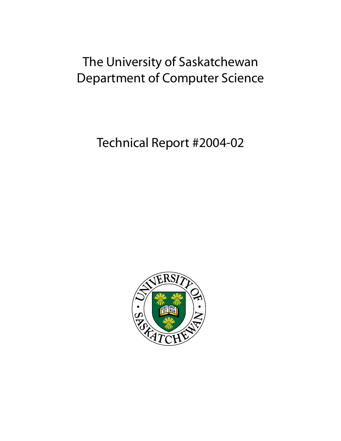# The University of Saskatchewan Department of Computer Science

Technical Report #2004-02

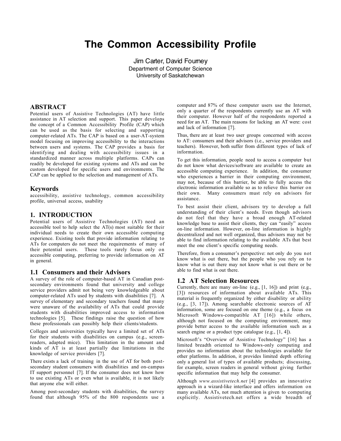## **The Common Accessibility Profile**

Jim Carter, David Fourney Department of Computer Science University of Saskatchewan

### ABSTRACT

Potential users of Assistive Technologies (AT) have little assistance in AT selection and support. This paper develops the concept of a Common Accessibility Profile (CAP) which can be used as the basis for selecting and supporting computer-related ATs. The CAP is based on a user-AT-system model focusing on improving accessibility to the interactions between users and systems. The CAP provides a basis for identifying and dealing with accessibility issues in a standardized manner across multiple platforms. CAPs can readily be developed for existing systems and ATs and can be custom developed for specific users and environments. The CAP can be applied to the selection and management of ATs.

### Keywords

accessibility, assistive technology, common accessibility profile, universal access, usability

### 1. INTRODUCTION

Potential users of Assistive Technologies (AT) need an accessible tool to help select the AT(s) most suitable for their individual needs to create their own accessible computing experience. Existing tools that provide information relating to ATs for computers do not meet the requirements of many of their potential users. These tools rarely focus only on accessible computing, preferring to provide information on AT in general.

### 1.1 Consumers and their Advisors

A survey of the role of computer-based AT in Canadian postsecondary environments found that university and college service providers admit not being very knowledgeable about computer-related ATs used by students with disabilities [7]. A survey of elementary and secondary teachers found that many were unaware of the availability of ATs that could provide students with disabilities improved access to information technologies [5]. These findings raise the question of how these professionals can possibly help their clients/students.

Colleges and universities typically have a limited set of ATs for their students with disabilities on campus (e.g., screenreaders, adapted mice). This limitation in the amount and kinds of AT is at least partially due limitations in the knowledge of service providers [7].

There exists a lack of training in the use of AT for both postsecondary student consumers with disabilities and on-campus IT support personnel [7]. If the consumer does not know how to use existing ATs or even what is available, it is not likely that anyone else will either.

Among post-secondary students with disabilities, the survey found that although 95% of the 800 respondents use a

computer and 87% of these computer users use the Internet, only a quarter of the respondents currently use an AT with their computer. However half of the respondents reported a need for an AT. The main reasons for lacking an AT were: cost and lack of information [7].

Thus, there are at least two user groups concerned with access to AT: consumers and their advisors (i.e., service providers and teachers). However, both suffer from different types of lack of information.

To get this information, people need to access a computer but do not know what devices/software are available to create an accessible computing experience. In addition, the consumer who experiences a barrier in their computing environment, may not, because of this barrier, be able to fully access the electronic information available so as to relieve this barrier on their own. Many consumers must rely on advisors for assistance.

To best assist their client, advisors try to develop a full understanding of their client's needs. Even though advisors do not feel that they have a broad enough AT-related knowledge base to assist their clients, they can "easily" access on-line information. However, on-line information is highly decentralized and not well organized, thus advisors may not be able to find information relating to the available ATs that best meet the one client's specific computing needs.

Therefore, from a consumer's perspective: not only do you not know what is out there, but the people who you rely on to know what is out there may not know what is out there or be able to find what is out there.

### 1.2 AT Selection Resources

Currently, there are many on-line (e.g., [1, 16]) and print (e.g., [3]) resources of information about available ATs. This material is frequently organized by either disability or ability (e.g., [3, 17]). Among searchable electronic sources of AT information, some are focused on one theme (e.g., a focus on Microsoft Windows-compatible AT [16]) while others, although not focused on the computing environment, may provide better access to the available information such as a search engine or a product type catalogue (e.g., [1, 4]).

Microsoft's "Overview of Assistive Technology" [16] has a limited breadth oriented to Windows-only computing and provides no information about the technologies available for other platforms. In addition, it provides limited depth offering only a general list of types of available products; discussing, for example, screen readers in general without giving further specific information that may help the consumer.

Although *www.assistivetech.net* [4] provides an innovative approach in a wizard-like interface and offers information on many available ATs, not much attention is given to computing explicitly. Assistivetech.net offers a wide breadth of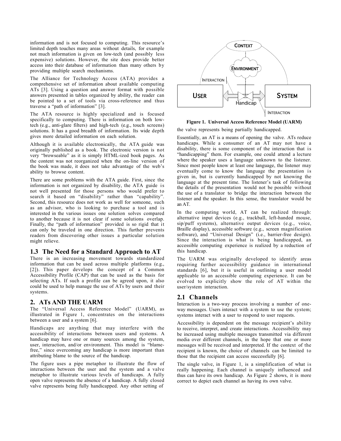information and is not focused to computing. This resource's limited depth touches many areas without details, for example not much information is given on low-tech (and possibly less expensive) solutions. However, the site does provide better access into their database of information than many others by providing multiple search mechanisms.

The Alliance for Technology Access (ATA) provides a comprehensive set of information about available computing ATs [3]. Using a question and answer format with possible answers presented in tables organized by ability, the reader can be pointed to a set of tools via cross-reference and thus traverse a "path of information" [3].

The ATA resource is highly specialized and is focused specifically to computing. There is information on both lowtech (e.g., anti-glare filters) and high-tech (e.g., touch screens) solutions. It has a good breadth of information. Its wide depth gives more detailed information on each solution.

Although it is available electronically, the ATA guide was originally published as a book. The electronic version is not very "browseable" as it is simply HTML-ized book pages. As the content was not reorganized when the on-line version of the book was made, it does not take advantage of the web's ability to browse content.

There are some problems with the ATA guide. First, since the information is not organized by disability, the ATA guide is not well presented for those persons who would prefer to search it based on "disability" rather than "capability". Second, this resource does not work as well for someone, such as an advisor, who is looking to purchase a tool and is interested in the various issues one solution solves compared to another because it is not clear if some solutions overlap. Finally, the "path of information" provided is so rigid that it can only be traveled in one direction. This further prevents readers from discovering other issues a particular solution might relieve.

### 1.3 The Need for a Standard Approach to AT

There is an increasing movement towards standardized information that can be used across multiple platforms (e.g., [2]). This paper develops the concept of a Common Accessibility Profile (CAP) that can be used as the basis for selecting ATs. If such a profile can be agreed upon, it also could be used to help manage the use of ATs by users and their systems.

### 2. ATs AND THE UARM

The "Universal Access Reference Model" (UARM), as illustrated in Figure 1, concentrates on the interactions between a user and a system [6].

Handicaps are anything that may interfere with the accessibility of interactions between users and systems. A handicap may have one or many sources among the system, user, interaction, and/or environment. This model is "blamefree," since overcoming any handicap is more important than attributing blame to the source of the handicap.

The figure uses a pipe metaphor to illustrate the flow of interactions between the user and the system and a valve metaphor to illustrate various levels of handicaps. A fully open valve represents the absence of a handicap. A fully closed valve represents being fully handicapped. Any other setting of



Figure 1. Universal Access Reference Model (UARM)

the valve represents being partially handicapped.

Essentially, an AT is a means of opening the valve. ATs reduce handicaps. While a consumer of an AT may not have a disability, there is some component of the interaction that is "handicapping" them. For example, one could attend a lecture where the speaker uses a language unknown to the listener. Since most people know at least one language, the listener may eventually come to know the language the presentation is given in, but is currently handicapped by not knowing the language at the present time. The listener's task of following the details of the presentation would not be possible without the use of a translator to bridge the interaction between the listener and the speaker. In this sense, the translator would be an AT.

In the computing world, AT can be realized through: alternative input devices (e.g., trackball, left-handed mouse, sip/puff systems), alternative output devices (e.g., voice, Braille display), accessible software (e.g., screen magnification software), and "Universal Design" (i.e., barrier-free design). Since the interaction is what is being handicapped, an accessible computing experience is realized by a reduction of this handicap.

The UARM was originally developed to identify areas requiring further accessibility guidance in international standards [6], but it is useful in outlining a user model applicable to an accessible computing experience. It can be evolved to explicitly show the role of AT within the user/system interaction.

### 2.1 Channels

Interaction is a two-way process involving a number of oneway messages. Users interact with a system to use the system; systems interact with a user to respond to user requests.

Accessibility is dependent on the message recipient's ability to receive, interpret, and create interactions. Accessibility may be increased using multiple messages transmitted via different media over different channels, in the hope that one or more messages will be received and interpreted. If the context of the recipient is known, the choice of channels can be limited to those that the recipient can access successfully [6].

The single valve, in Figure 1, is a simplification of what is really happening. Each channel is uniquely influenced and thus can have its own handicap. As Figure 2 shows, it is more correct to depict each channel as having its own valve.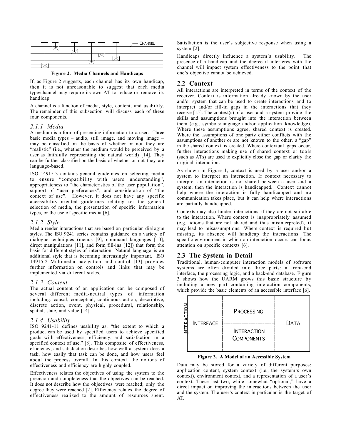

Figure 2. Media Channels and Handicaps

If, as Figure 2 suggests, each channel has its own handicap, then it is not unreasonable to suggest that each media type/channel may require its own AT to reduce or remove its handicap.

A channel is a function of media, style, content, and usability. The remainder of this subsection will discuss each of these four components.

#### *2.1.1 Media*

A medium is a form of presenting information to a user. Three basic media types – audio, still image, and moving image – may be classified on the basis of whether or not they are "realistic" (i.e., whether the medium would be perceived by a user as faithfully representing the natural world) [14]. They can be further classified on the basis of whether or not they are language-based.

ISO 14915-3 contains general guidelines on selecting media to ensure "compatibility with users understanding", appropriateness to "the characteristics of the user population", support of "user preferences", and consideration of "the context of use". However, it does not have any specific accessibility-oriented guidelines relating to: the general selection of media, the presentation of specific information types, or the use of specific media [6].

#### *2.1.2 Style*

Media render interactions that are based on particular dialogue styles. The ISO 9241 series contains guidance on a variety of dialogue techniques (menus [9], command languages [10], direct manipulations [11], and form fill-ins [12]) that form the basis for different styles of interaction. Natural language is an additional style that is becoming increasingly important. ISO 14915-2 Multimedia navigation and control [13] provides further information on controls and links that may be implemented via different styles.

#### *2.1.3 Content*

The actual content of an application can be composed of several different media-neutral types of information including: causal, conceptual, continuous action, descriptive, discrete action, event, physical, procedural, relationship, spatial, state, and value [14].

#### *2.1.4 Usability*

ISO 9241-11 defines usability as, "the extent to which a product can be used by specified users to achieve specified goals with effectiveness, efficiency, and satisfaction in a specified context of use." [8]. This composite of effectiveness, efficiency, and satisfaction describes how well a system does a task, how easily that task can be done, and how users feel about the process overall. In this context, the notions of effectiveness and efficiency are highly coupled.

Effectiveness relates the objectives of using the system to the precision and completeness that the objectives can be reached. It does not describe how the objectives were reached; only the degree they were reached [2]. Efficiency relates the degree of effectiveness realized to the amount of resources spent.

Satisfaction is the user's subjective response when using a system [2].

Handicaps directly influence a system's usability. The presence of a handicap and the degree it interferes with the channel will impact system effectiveness to the point that one's objective cannot be achieved.

### 2.2 Context

All interactions are interpreted in terms of the context of the receiver. Context is information already known by the user and/or system that can be used to create interactions and to interpret and/or fill-in gaps in the interactions that they receive [15]. The context(s) of a user and a system provide the skills and assumptions brought into the interaction between them (e.g., symbols/language and/or application knowledge). Where these assumptions agree, shared context is created. Where the assumptions of one party either conflicts with the assumptions of another or are not known to the other, a "gap" in the shared context is created. Where contextual gaps occur, further interactions making use of shared context or tools (such as ATs) are used to explicitly close the gap or clarify the original interaction.

As shown in Figure 1, context is used by a user and/or a system to interpret an interaction. If context necessary to interpret an interaction is not shared between a user and a system, then the interaction is handicapped. Context cannot help where the interaction is fully handicapped and no communication takes place, but it can help where interactions are partially handicapped.

Contexts may also hinder interactions if they are not suitable to the interaction. Where context is inappropriately assumed (e.g., idioms that are not shared and thus misinterpreted), it may lead to misassumptions. Where context is required but missing, its absence will handicap the interactions. The specific environment in which an interaction occurs can focus attention on specific contexts [6].

### 2.3 The System in Detail

Traditional, human-computer interaction models of software systems are often divided into three parts: a front-end interface, the processing logic, and a back-end database. Figure 3 shows how the UARM grows this basic structure by including a new part containing interaction components, which provide the basic elements of an accessible interface [6].



Figure 3. A Model of an Accessible System

Data may be stored for a variety of different purposes: application content, system context (i.e., the system's own context), environment context, and a representation of a user's context. These last two, while somewhat "optional," have a direct impact on improving the interactions between the user and the system. The user's context in particular is the target of AT.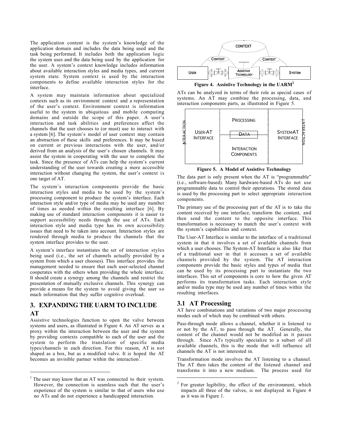The application content is the system's knowledge of the application domain and includes the data being used and the task being performed. It includes both the application logic the system uses and the data being used by the application for the user. A system's context knowledge includes information about available interaction styles and media types, and current system state. System context is used by the interaction components to define available interaction styles for the interface.

A system may maintain information about specialized contexts such as its environment context and a representation of the user's context. Environment context is information useful to the system in ubiquitous and mobile computing domains and outside the scope of this paper. A user's interaction and task abilities and preferences affect the channels that the user chooses to (or must) use to interact with a system [6]. The system's model of user context may contain an abstraction of these skills and preferences. It may be based on current or previous interactions with the user, and/or derived from an analysis of the user's chosen channels. It may assist the system in cooperating with the user to complete the task. Since the presence of ATs can help the system's current understanding of the user towards creating a more accessible interaction without changing the system, the user's context is one target of AT.

The system's interaction components provide the basic interaction styles and media to be used by the system's processing component to produce the system's interface. Each interaction style and/or type of media may be used any number of times as needed within the resulting interface [6]. By making use of standard interaction components it is easier to support accessibility needs through the use of ATs. Each interaction style and media type has its own accessibility issues that need to be taken into account. Interaction styles are rendered through media to produce the channels that the system interface provides to the user.

A system's interface instantiates the set of interaction styles being used (i.e., the set of channels actually provided by a system from which a user chooses). This interface provides the management needed to ensure that each user-selected channel cooperates with the others when providing the whole interface. It should create a synergy among the channels and restrict the presentation of mutually exclusive channels. This synergy can provide a means for the system to avoid giving the user so much information that they suffer cognitive overload.

### 3. EXPANDING THE UARM TO INCLUDE

### AT

 $\overline{a}$ 

Assistive technologies function to open the valve between systems and users, as illustrated in Figure 4. An AT serves as a proxy within the interaction between the user and the system by providing contexts compatible to each of the user and the system to perform the translation of specific media types/channels in each direction. For this reason, AT is not shaped as a box, but as a modified valve. It is hoped the AT becomes an invisible partner within the interaction<sup>1</sup>.



Figure 4. Assistive Technology in the UARM<sup>2</sup>

ATs can be analyzed in terms of their role as special cases of systems. An AT may combine the processing, data, and interaction components parts, as illustrated in Figure 5.



Figure 5. A Model of Assistive Technology

The data part is only present when the AT is "programmable" (i.e., software-based). Many hardware-based ATs do not use programmable data to control their operations. The stored data is used by the processing part to select appropriate interaction components.

The primary use of the processing part of the AT is to take the content received by one interface, transform the content, and then send the content to the opposite interface. This transformation is necessary to match the user's context with the system's capabilities and context.

The User-AT Interface is similar to the interface of a traditional system in that it involves a set of available channels from which a user chooses. The System-AT Interface is also like that of a traditional user in that it accesses a set of available channels provided by the system. The AT interaction components provide the basic styles and types of media that can be used by its processing part to instantiate the two interfaces. This set of components is core to how the given AT performs its transformation tasks. Each interaction style and/or media type may be used any number of times within the resulting interfaces.

### 3.1 AT Processing

 $\overline{a}$ 

AT have combinations and variations of two major processing modes each of which may be combined with others.

Pass-through mode allows a channel, whether it is listened to or not by the AT, to pass through the AT. Generally, the content of the channel would not be modified as it passes through. Since ATs typically specialize to a subset of all available channels, this is the mode that will influence all channels the AT is not interested in.

Transformation mode involves the AT listening to a channel. The AT then takes the content of the listened channel and transforms it into a new medium. The process used for

 $1$ <sup>1</sup> The user may know that an AT was connected to their system. However, the connection is seamless such that the user's experience of the system is similar to that of users who use no ATs and do not experience a handicapped interaction.

 $2^2$  For greater legibility, the effect of the environment, which impacts all three of the valves, is not displayed in Figure 4 as it was in Figure 1.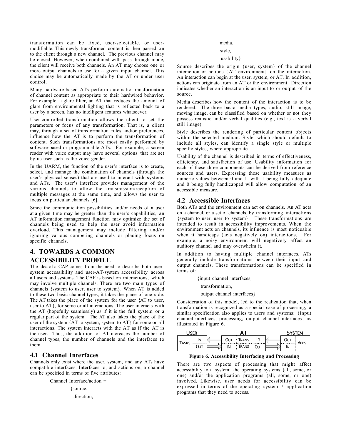transformation can be fixed, user-selectable, or usermodifiable. This newly transformed content is then passed on to the client through a new channel. The previous channel may be closed. However, when combined with pass-through mode, the client will receive both channels. An AT may choose one or more output channels to use for a given input channel. This choice may be automatically made by the AT or under user control.

Many hardware-based ATs perform automatic transformation of channel content as appropriate to their hardwired behavior. For example, a glare filter, an AT that reduces the amount of glare from environmental lighting that is reflected back to a user by a screen, has no intelligent features whatsoever.

User-controlled transformation allows the client to set the parameters or focus of any transformation. That is, a client may, through a set of transformation rules and/or preferences, influence how the AT is to perform the transformation of content. Such transformations are most easily performed by software-based or programmable ATs. For example, a screen reader with voice output may have several options that are set by its user such as the voice gender.

In the UARM, the function of the user's interface is to create, select, and manage the combination of channels (through the user's physical senses) that are used to interact with systems and ATs. The user's interface provides management of the various channels to allow the transmission/reception of multiple messages at the same time, and allows the user to focus on particular channels [6].

Since the communication possibilities and/or needs of a user at a given time may be greater than the user's capabilities, an AT information management function may optimize the set of channels being used to help the user avoid information overload. This management may include filtering and/or ignoring various competing channels or placing focus on specific channels.

### 4. TOWARDS A COMMON ACCESSIBILITY PROFILE

The idea of a CAP comes from the need to describe both usersystem accessibility and user-AT-system accessibility across all users and systems. The CAP is based on interactions, which may involve multiple channels. There are two main types of channels {system to user, user to system}. When AT is added to these two basic channel types, it takes the place of one side. The AT takes the place of the system for the user {AT to user, user to AT}, for some or all interactions. The user interacts with the AT (hopefully seamlessly) as if it is the full system or a regular part of the system. The AT also takes the place of the user of the system {AT to system, system to AT} for some or all interactions. The system interacts with the AT as if the AT is the user. Thus, the addition of AT increases the number of channel types, the number of channels and the interfaces to them.

### 4.1 Channel Interfaces

Channels only exist where the user, system, and any ATs have compatible interfaces. Interfaces to, and actions on, a channel can be specified in terms of five attributes:

Channel Interface/action =

{source, direction,

#### media,

style,

#### usability}

Source describes the origin {user, system} of the channel interaction or actions {AT, environment} on the interaction. An interaction can begin at the user, system, or AT. In addition, actions can originate from an AT or the environment. Direction indicates whether an interaction is an input to or output of the source.

Media describes how the content of the interaction is to be rendered. The three basic media types, audio, still image, moving image, can be classified based on whether or not they possess realistic and/or verbal qualities (e.g., text is a verbal still image).

Style describes the rendering of particular content objects within the selected medium. Style, which should default to include all styles, can identify a single style or multiple specific styles, where appropriate.

Usability of the channel is described in terms of effectiveness, efficiency, and satisfaction of use. Usability information for each of these three components can be derived from reference sources and users. Expressing these usability measures as numeric values between 0 and 1, with 1 being fully adequate and 0 being fully handicapped will allow computation of an accessible measure.

### 4.2 Accessible Interfaces

Both ATs and the environment can act on channels. An AT acts on a channel, or a set of channels, by transforming interactions {system to user, user to system}. These transformations are intended to result in accessibility improvements. When the environment acts on channels, its influence is most noticeable when it handicaps (acts negatively on) interactions. For example, a noisy environment will negatively affect an auditory channel and may overwhelm it.

In addition to having multiple channel interfaces, ATs generally include transformations between their input and output channels. These transformations can be specified in terms of:

{input channel interfaces,

transformation,

output channel interfaces}

Consideration of this model, led to the realization that, when transformation is recognized as a special case of processing, a similar specification also applies to users and systems: {input channel interfaces, processing, output channel interfaces} as illustrated in Figure 6.

| <b>ICED</b>  |            |  |            |               |     | System |       |  |
|--------------|------------|--|------------|---------------|-----|--------|-------|--|
| <b>TASKS</b> | lΝ         |  | <b>OUT</b> | <b>TRANS</b>  | lΝ  | Out    | APPS. |  |
|              | <b>OUT</b> |  | ΙN         | <b>T</b> rans | OUT | lΝ     |       |  |

Figure 6. Accessibility Interfacing and Processing

There are two aspects of processing that might affect accessibility to a system: the operating systems (all, some, or one) and/or the application programs (all, some, or one) involved. Likewise, user needs for accessibility can be expressed in terms of the operating system / application programs that they need to access.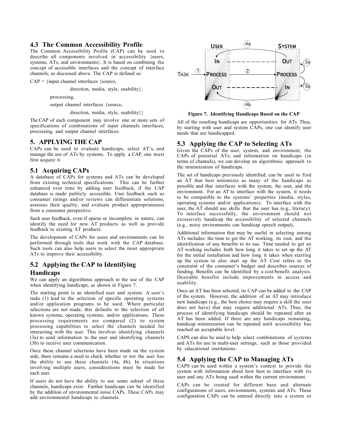### 4.3 The Common Accessibility Profile

The Common Accessibility Profile (CAP) can be used to describe all components involved in accessibility {users, systems, ATs, and environments}. It is based on combining the concept of accessible interfaces and the concept of interface channels, as discussed above. The CAP is defined as:

 $CAP = \{input channel interfaces \}$ 

direction, media, style, usability},

processing,

output channel interfaces {source,

direction, media, style, usability}}

The CAP of each component may involve one or more sets of specifications of combinations of input channels interfaces, processing, and output channel interfaces.

### 5. APPLYING THE CAP

CAPs can be used to evaluate handicaps, select AT's, and manage the use of ATs by systems. To apply a CAP, one must first acquire it.

### 5.1 Acquiring CAPs

A database of CAPs for systems and ATs can be developed from existing technical specifications. This can be further enhanced over time by adding user feedback, if the CAP database is made publicly accessible. User feedback such as consumer ratings and/or reviews can differentiate solutions, assesses their quality, and evaluate product appropriateness from a consumer perspective.

Such user feedback, even if sparse or incomplete in nature, can identify the need for new AT products as well as provide feedback to existing AT products.

The development of CAPs for users and environments can be performed through tools that work with the CAP database. Such tools can also help users to select the most appropriate ATs to improve their accessibility.

### 5.2 Applying the CAP to Identifying Handicaps

We can apply an algorithmic approach to the use of the CAP when identifying handicaps, as shown in Figure 7.

The starting point is an identified user and system. A user's tasks (1) lead to the selection of specific operating systems and/or application programs to be used. Where particular selections are not made, this defaults to the selection of all known systems, operating systems, and/or applications. These processing requirements are compared (2) to system processing capabilities to select the channels needed for interacting with the user. This involves identifying channels (3a) to send information to the user and identifying channels (3b) to receive user communication.

Once these channel selections have been made on the system side, there remains a need to check whether or not the user has the ability to use these channels (4a, 4b). In situations involving multiple users, considerations must be made for each user.

If users do not have the ability to use some subset of these channels, handicaps exist. Further handicaps can be identified by the addition of environmental noise CAPs. These CAPs may add environmental handicaps to channels.



Figure 7. Identifying Handicaps Based on the CAP

All of the resulting handicaps are opportunities for ATs. Thus, by starting with user and system CAPs, one can identify user needs that are handicapped.

### 5.3 Applying the CAP to Selecting ATs

Given the CAPs of the user, system, and environment; the CAPs of potential ATs; and information on handicaps (in terms of channels), we can develop an algorithmic approach to the minimization of handicaps.

The set of handicaps previously identified, can be used to find an AT that best minimizes as many of the handicaps as possible and that interfaces with the system, the user, and the environment. For an AT to interface with the system, it needs to be compatible to the systems' properties (media, styles, operating systems and/or applications). To interface with the user, the AT should use skills that the user has (e.g., literacy). To interface successfully, the environment should not excessively handicap the accessibility of selected channels (e.g., noisy environments can handicap speech output),

Additional information that may be useful in selecting among ATs includes: the time to get the AT working, its cost, and the identification of any benefits to its use. Time needed to get an AT working includes both how long it takes to set up the AT for the initial installation and how long it takes when starting up the system to also start up the AT. Cost refers to the constraint of the consumer's budget and describes sources of funding. Benefits can be identified by a cost/benefit analysis. Desirable benefits include improvements in access and usability.

Once an AT has been selected, its CAP can be added to the CAP of the system. However, the addition of an AT may introduce new handicaps (e.g., the best choice may require a skill the user does not have) that may require additional ATs. Thus, the process of identifying handicaps should be repeated after an AT has been added. If there are any handicaps remaining, handicap minimization can be repeated until accessibility has reached an acceptable level.

CAPS can also be used to help select combinations of systems and ATs for use in multi-user settings, such as those provided by educational institutions.

### 5.4 Applying the CAP to Managing ATs

CAPS can be used within a system's context to provide the system with information about how best to interface with its user and any ATs being used within the current environment.

CAPs can be created for different base and alternate configurations of users, environments, systems and ATs. These configuration CAPs can be entered directly into a system or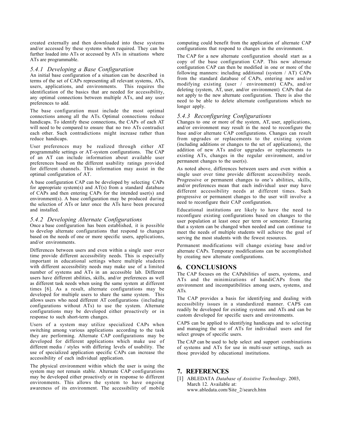created externally and then downloaded into these systems and/or accessed by these systems when required. They can be further loaded into ATs or accessed by ATs in situations where ATs are programmable.

#### *5.4.1 Developing a Base Configuration*

An initial base configuration of a situation can be described in terms of the set of CAPs representing all relevant systems, ATs, users, applications, and environments. This requires the identification of the basics that are needed for accessibility, any optimal connections between multiple ATs, and any user preferences to add.

The base configuration must include the most optimal connections among all the ATs. Optimal connections reduce handicaps. To identify these connections, the CAPs of each AT will need to be compared to ensure that no two ATs contradict each other. Such contradictions might increase rather than reduce handicaps.

User preferences may be realized through either AT programmable settings or AT-system configurations. The CAP of an AT can include information about available user preferences based on the different usability ratings provided for different channels. This information may assist in the optimal configuration of AT.

A base configuration CAP can be developed by selecting CAPs for appropriate system(s) and  $AT(s)$  from a standard database of CAPs and then entering CAPs for the intended user(s) and environment(s). A base configuration may be produced during the selection of ATs or later once the ATs have been procured and installed.

#### *5.4.2 Developing Alternate Configurations*

Once a base configuration has been established, it is possible to develop alternate configurations that respond to changes based on the needs of one or more specific users, applications, and/or environments.

Differences between users and even within a single user over time provide different accessibility needs. This is especially important in educational settings where multiple students with different accessibility needs may make use of a limited number of systems and ATs in an accessible lab. Different users have different abilities, skills, and/or preferences as well as different task needs when using the same system at different times [6]. As a result, alternate configurations may be developed for multiple users to share the same system. This allows users who need different AT configurations (including configurations without ATs) to use the system. Alternate configurations may be developed either proactively or in response to such short-term changes.

Users of a system may utilize specialized CAPs when switching among various applications according to the task they are performing. Alternate CAP configurations may be developed for different applications which make use of different media / styles with differing levels of usability. The use of specialized application specific CAPs can increase the accessibility of each individual application.

The physical environment within which the user is using the system may not remain stable. Alternate CAP configurations may be developed either proactively or in response to different environments. This allows the system to have ongoing awareness of its environment. The accessibility of mobile

computing could benefit from the application of alternate CAP configurations that respond to changes in the environment.

The CAP for a new alternate configuration should start as a copy of the base configuration CAP. This new alternate configuration CAP can then be modified in one or more of the following manners: including additional (system / AT) CAPs from the standard database of CAPs, entering new and/or modifying existing (user / environment) CAPs, and/or deleting (system, AT, user, and/or environment) CAPs that do not apply to the new alternate configuration. There is also the need to be able to delete alternate configurations which no longer apply.

#### *5.4.3 Reconfiguring Configurations*

Changes to one or more of the system, AT, user, applications, and/or environment may result in the need to reconfigure the base and/or alternate CAP configurations. Changes can result from upgrades or replacements to the existing system (including additions or changes to the set of applications), the addition of new ATs and/or upgrades or replacements to existing ATs, changes in the regular environment, and/or permanent changes to the user(s).

As noted above, differences between users and even within a single user over time provide different accessibility needs. Progressive or permanent changes to one's abilities, skills, and/or preferences mean that each individual user may have different accessibility needs at different times. Such progressive or permanent changes to the user will involve a need to reconfigure their CAP configuration.

Educational institutions are likely to have the need to reconfigure existing configurations based on changes to the user population at least once per term or semester. Ensuring that a system can be changed when needed and can continue to meet the needs of multiple students will achieve the goal of serving the most students with the fewest resources.

Permanent modifications will change existing base and/or alternate CAPs. Temporary modifications can be accomplished by creating new alternate configurations.

### 6. CONCLUSIONS

The CAP focuses on the CAPabilities of users, systems, and ATs and the minimizations of handiCAPs from the environment and incompatibilities among users, systems, and ATs.

The CAP provides a basis for identifying and dealing with accessibility issues in a standardized manner. CAPS can readily be developed for existing systems and ATs and can be custom developed for specific users and environments.

CAPS can be applied to identifying handicaps and to selecting and managing the use of ATs for individual users and for select groups of specific users.

The CAP can be used to help select and support combinations of systems and ATs for use in multi-user settings, such as those provided by educational institutions.

### 7. REFERENCES

[1] ABLEDATA *Database of Assistive Technology*. 2003, March 12. Available at: www.abledata.com/Site\_2/search.htm